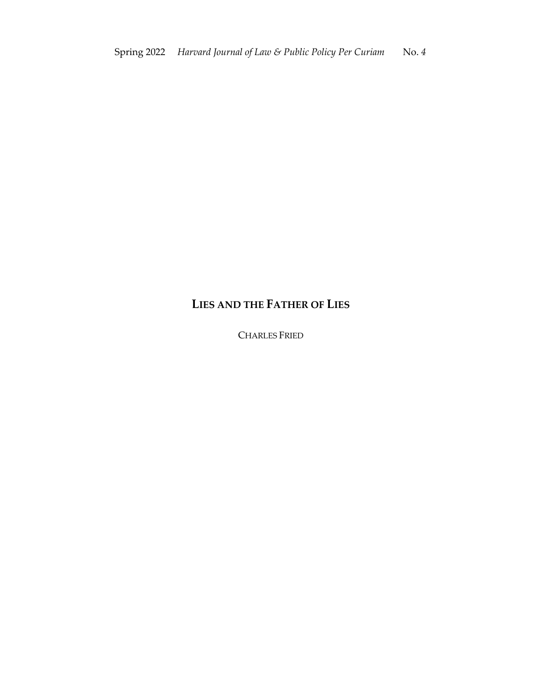## **LIES AND THE FATHER OF LIES**

CHARLES FRIED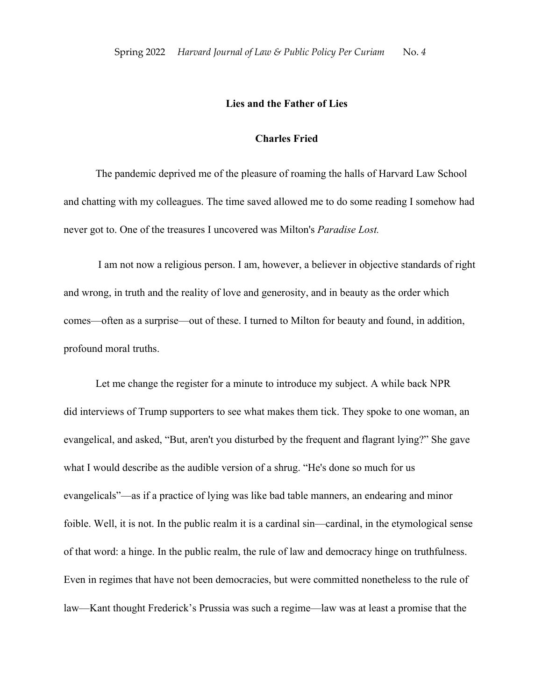## **Lies and the Father of Lies**

## **Charles Fried**

The pandemic deprived me of the pleasure of roaming the halls of Harvard Law School and chatting with my colleagues. The time saved allowed me to do some reading I somehow had never got to. One of the treasures I uncovered was Milton's *Paradise Lost.*

I am not now a religious person. I am, however, a believer in objective standards of right and wrong, in truth and the reality of love and generosity, and in beauty as the order which comes—often as a surprise—out of these. I turned to Milton for beauty and found, in addition, profound moral truths.

Let me change the register for a minute to introduce my subject. A while back NPR did interviews of Trump supporters to see what makes them tick. They spoke to one woman, an evangelical, and asked, "But, aren't you disturbed by the frequent and flagrant lying?" She gave what I would describe as the audible version of a shrug. "He's done so much for us evangelicals"—as if a practice of lying was like bad table manners, an endearing and minor foible. Well, it is not. In the public realm it is a cardinal sin—cardinal, in the etymological sense of that word: a hinge. In the public realm, the rule of law and democracy hinge on truthfulness. Even in regimes that have not been democracies, but were committed nonetheless to the rule of law—Kant thought Frederick's Prussia was such a regime—law was at least a promise that the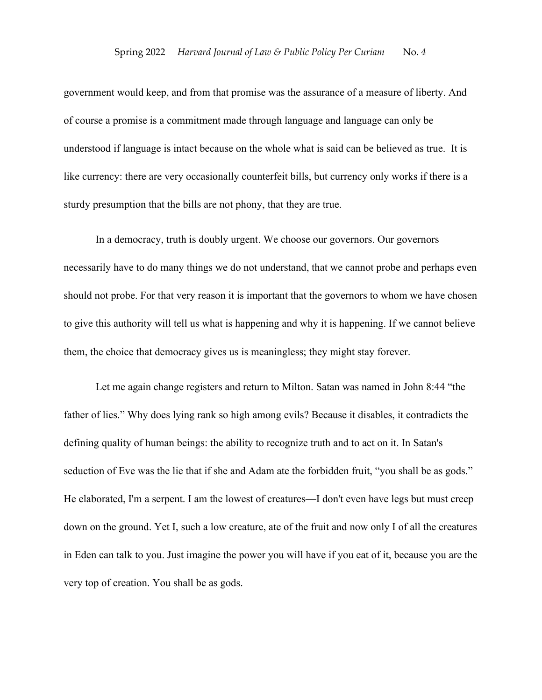government would keep, and from that promise was the assurance of a measure of liberty. And of course a promise is a commitment made through language and language can only be understood if language is intact because on the whole what is said can be believed as true. It is like currency: there are very occasionally counterfeit bills, but currency only works if there is a sturdy presumption that the bills are not phony, that they are true.

In a democracy, truth is doubly urgent. We choose our governors. Our governors necessarily have to do many things we do not understand, that we cannot probe and perhaps even should not probe. For that very reason it is important that the governors to whom we have chosen to give this authority will tell us what is happening and why it is happening. If we cannot believe them, the choice that democracy gives us is meaningless; they might stay forever.

Let me again change registers and return to Milton. Satan was named in John 8:44 "the father of lies." Why does lying rank so high among evils? Because it disables, it contradicts the defining quality of human beings: the ability to recognize truth and to act on it. In Satan's seduction of Eve was the lie that if she and Adam ate the forbidden fruit, "you shall be as gods." He elaborated, I'm a serpent. I am the lowest of creatures—I don't even have legs but must creep down on the ground. Yet I, such a low creature, ate of the fruit and now only I of all the creatures in Eden can talk to you. Just imagine the power you will have if you eat of it, because you are the very top of creation. You shall be as gods.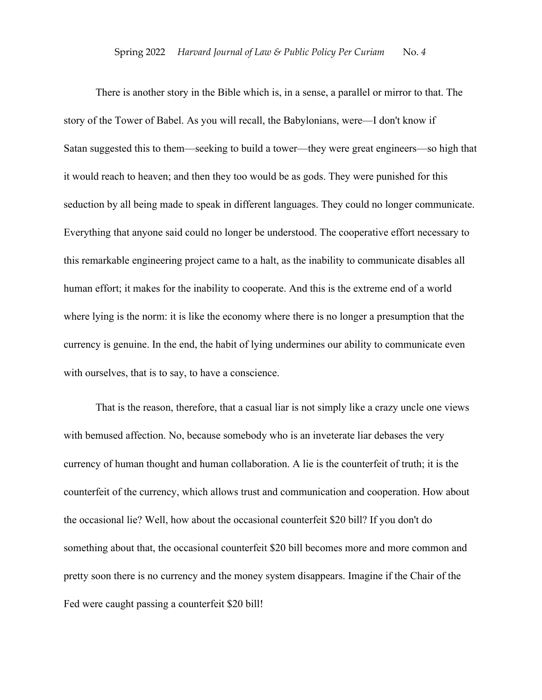There is another story in the Bible which is, in a sense, a parallel or mirror to that. The story of the Tower of Babel. As you will recall, the Babylonians, were—I don't know if Satan suggested this to them—seeking to build a tower—they were great engineers—so high that it would reach to heaven; and then they too would be as gods. They were punished for this seduction by all being made to speak in different languages. They could no longer communicate. Everything that anyone said could no longer be understood. The cooperative effort necessary to this remarkable engineering project came to a halt, as the inability to communicate disables all human effort; it makes for the inability to cooperate. And this is the extreme end of a world where lying is the norm: it is like the economy where there is no longer a presumption that the currency is genuine. In the end, the habit of lying undermines our ability to communicate even with ourselves, that is to say, to have a conscience.

That is the reason, therefore, that a casual liar is not simply like a crazy uncle one views with bemused affection. No, because somebody who is an inveterate liar debases the very currency of human thought and human collaboration. A lie is the counterfeit of truth; it is the counterfeit of the currency, which allows trust and communication and cooperation. How about the occasional lie? Well, how about the occasional counterfeit \$20 bill? If you don't do something about that, the occasional counterfeit \$20 bill becomes more and more common and pretty soon there is no currency and the money system disappears. Imagine if the Chair of the Fed were caught passing a counterfeit \$20 bill!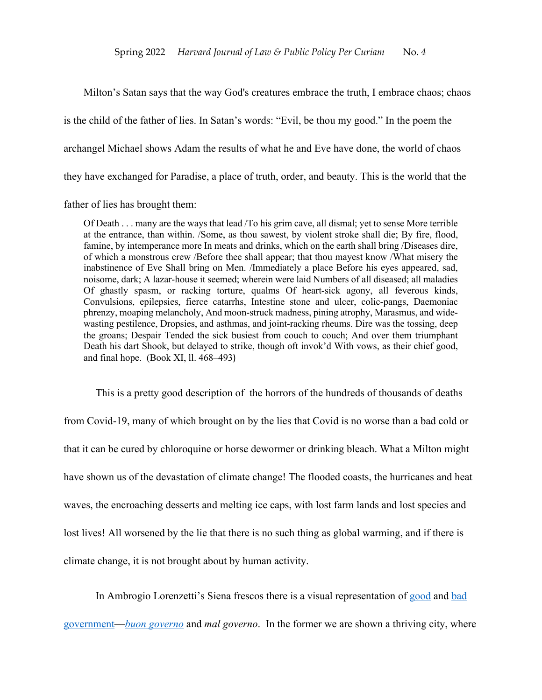Milton's Satan says that the way God's creatures embrace the truth, I embrace chaos; chaos is the child of the father of lies. In Satan's words: "Evil, be thou my good." In the poem the archangel Michael shows Adam the results of what he and Eve have done, the world of chaos they have exchanged for Paradise, a place of truth, order, and beauty. This is the world that the

father of lies has brought them:

Of Death . . . many are the ways that lead /To his grim cave, all dismal; yet to sense More terrible at the entrance, than within. /Some, as thou sawest, by violent stroke shall die; By fire, flood, famine, by intemperance more In meats and drinks, which on the earth shall bring /Diseases dire, of which a monstrous crew /Before thee shall appear; that thou mayest know /What misery the inabstinence of Eve Shall bring on Men. /Immediately a place Before his eyes appeared, sad, noisome, dark; A lazar-house it seemed; wherein were laid Numbers of all diseased; all maladies Of ghastly spasm, or racking torture, qualms Of heart-sick agony, all feverous kinds, Convulsions, epilepsies, fierce catarrhs, Intestine stone and ulcer, colic-pangs, Daemoniac phrenzy, moaping melancholy, And moon-struck madness, pining atrophy, Marasmus, and widewasting pestilence, Dropsies, and asthmas, and joint-racking rheums. Dire was the tossing, deep the groans; Despair Tended the sick busiest from couch to couch; And over them triumphant Death his dart Shook, but delayed to strike, though oft invok'd With vows, as their chief good, and final hope. (Book XI, ll. 468–493)

This is a pretty good description of the horrors of the hundreds of thousands of deaths from Covid-19, many of which brought on by the lies that Covid is no worse than a bad cold or that it can be cured by chloroquine or horse dewormer or drinking bleach. What a Milton might have shown us of the devastation of climate change! The flooded coasts, the hurricanes and heat waves, the encroaching desserts and melting ice caps, with lost farm lands and lost species and lost lives! All worsened by the lie that there is no such thing as global warming, and if there is climate change, it is not brought about by human activity.

In Ambrogio Lorenzetti's Siena frescos there is a visual representation of good and bad

government—*buon governo* and *mal governo*. In the former we are shown a thriving city, where